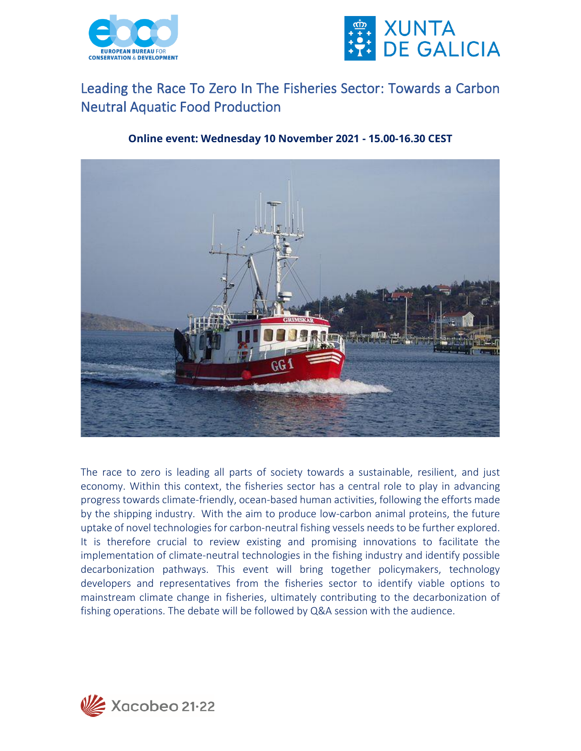



## Leading the Race To Zero In The Fisheries Sector: Towards a Carbon Neutral Aquatic Food Production

## **Online event: Wednesday 10 November 2021 - 15.00-16.30 CEST**



The race to zero is leading all parts of society towards a sustainable, resilient, and just economy. Within this context, the fisheries sector has a central role to play in advancing progress towards climate-friendly, ocean-based human activities, following the efforts made by the shipping industry. With the aim to produce low-carbon animal proteins, the future uptake of novel technologies for carbon-neutral fishing vessels needs to be further explored. It is therefore crucial to review existing and promising innovations to facilitate the implementation of climate-neutral technologies in the fishing industry and identify possible decarbonization pathways. This event will bring together policymakers, technology developers and representatives from the fisheries sector to identify viable options to mainstream climate change in fisheries, ultimately contributing to the decarbonization of fishing operations. The debate will be followed by Q&A session with the audience.